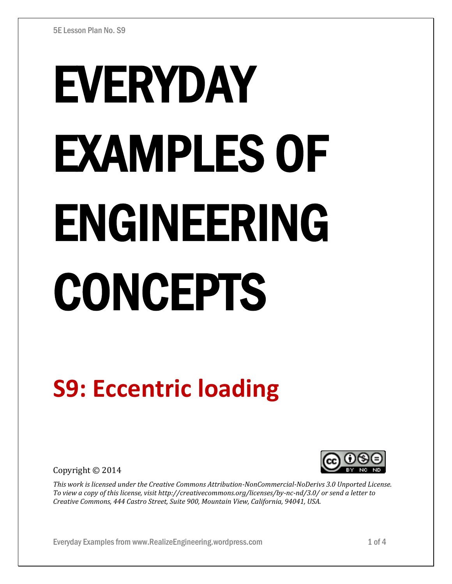# EVERYDAY EXAMPLES OF ENGINEERING CONCEPTS

## **S9: Eccentric loading**

Copyright © 2014



*This work is licensed under the Creative Commons Attribution-NonCommercial-NoDerivs 3.0 Unported License. To view a copy of this license, visit http://creativecommons.org/licenses/by-nc-nd/3.0/ or send a letter to Creative Commons, 444 Castro Street, Suite 900, Mountain View, California, 94041, USA.* 

Everyday Examples from www.RealizeEngineering.wordpress.com 1 of 4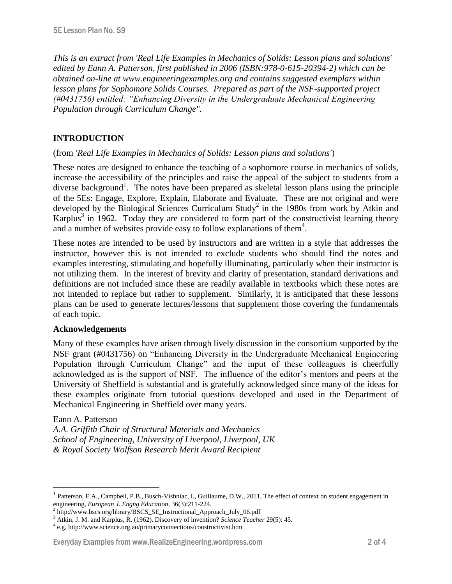*This is an extract from 'Real Life Examples in Mechanics of Solids: Lesson plans and solutions' edited by Eann A. Patterson, first published in 2006 (ISBN:978-0-615-20394-2) which can be obtained on-line at www.engineeringexamples.org and contains suggested exemplars within lesson plans for Sophomore Solids Courses. Prepared as part of the NSF-supported project (#0431756) entitled: "Enhancing Diversity in the Undergraduate Mechanical Engineering Population through Curriculum Change".* 

#### **INTRODUCTION**

#### (from *'Real Life Examples in Mechanics of Solids: Lesson plans and solutions'*)

These notes are designed to enhance the teaching of a sophomore course in mechanics of solids, increase the accessibility of the principles and raise the appeal of the subject to students from a diverse background<sup>1</sup>. The notes have been prepared as skeletal lesson plans using the principle of the 5Es: Engage, Explore, Explain, Elaborate and Evaluate. These are not original and were developed by the Biological Sciences Curriculum Study<sup>2</sup> in the 1980s from work by Atkin and Karplus<sup>3</sup> in 1962. Today they are considered to form part of the constructivist learning theory and a number of websites provide easy to follow explanations of them<sup>4</sup>.

These notes are intended to be used by instructors and are written in a style that addresses the instructor, however this is not intended to exclude students who should find the notes and examples interesting, stimulating and hopefully illuminating, particularly when their instructor is not utilizing them. In the interest of brevity and clarity of presentation, standard derivations and definitions are not included since these are readily available in textbooks which these notes are not intended to replace but rather to supplement. Similarly, it is anticipated that these lessons plans can be used to generate lectures/lessons that supplement those covering the fundamentals of each topic.

#### **Acknowledgements**

Many of these examples have arisen through lively discussion in the consortium supported by the NSF grant (#0431756) on "Enhancing Diversity in the Undergraduate Mechanical Engineering Population through Curriculum Change" and the input of these colleagues is cheerfully acknowledged as is the support of NSF. The influence of the editor's mentors and peers at the University of Sheffield is substantial and is gratefully acknowledged since many of the ideas for these examples originate from tutorial questions developed and used in the Department of Mechanical Engineering in Sheffield over many years.

#### Eann A. Patterson

*A.A. Griffith Chair of Structural Materials and Mechanics School of Engineering, University of Liverpool, Liverpool, UK & Royal Society Wolfson Research Merit Award Recipient* 

#### Everyday Examples from www.RealizeEngineering.wordpress.com 2 of 4

<sup>1</sup> Patterson, E.A., Campbell, P.B., Busch-Vishniac, I., Guillaume, D.W., 2011, The effect of context on student engagement in engineering, *European J. Engng Education*, 36(3):211-224.

<sup>&</sup>lt;sup>2</sup> http://www.bscs.org/library/BSCS\_5E\_Instructional\_Approach\_July\_06.pdf

<sup>3</sup> Atkin, J. M. and Karplus, R. (1962). Discovery of invention? *Science Teacher* 29(5): 45.

<sup>4</sup> e.g. http://www.science.org.au/primaryconnections/constructivist.htm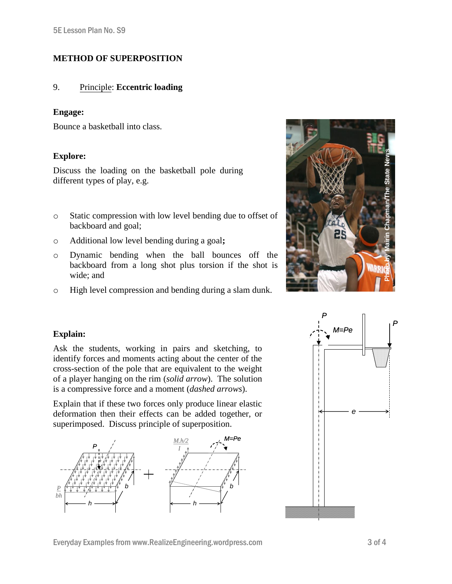### **METHOD OF SUPERPOSITION**

#### 9. Principle: **Eccentric loading**

#### **Engage:**

Bounce a basketball into class.

#### **[Explore:](http://www.magicfundamentals.com/clips.htm)**

Discuss the loading on the basketball pole during different types of play, e.g.

- o Static compression with low level bending due to offset of backboard and goal;
- o Additional low level bending during a goal**;**
- o Dynamic bending when the ball bounces off the backboard from a long shot plus torsion if the shot is wide; and
- o High level compression and bending during a slam dunk.



#### **Explain:**

Ask the students, working in pairs and sketching, to identify forces and moments acting about the center of the cross-section of the pole that are equivalent to the weight of a player hanging on the rim (*solid arrow*). The solution is a compressive force and a moment (*dashed arrows*).

Explain that if these two forces only produce linear elastic deformation then their effects can be added together, or superimposed. Discuss principle of superposition.